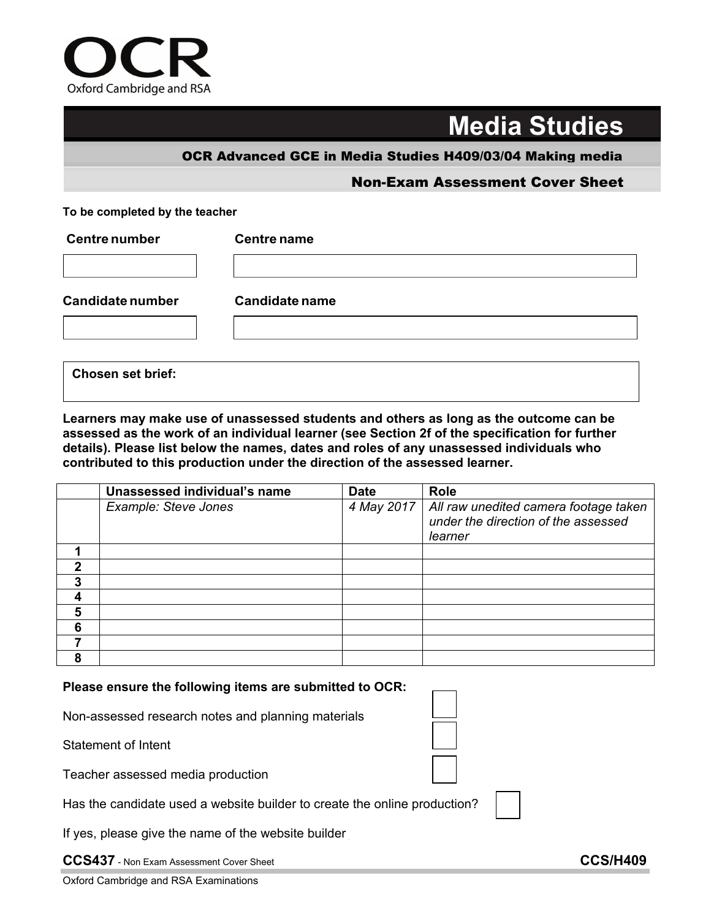

## **Media Studies**

OCR Advanced GCE in Media Studies H409/03/04 Making media

## Non-Exam Assessment Cover Sheet

## **To be completed by the teacher**

| <b>Centre number</b>    | <b>Centre name</b>    |  |
|-------------------------|-----------------------|--|
|                         |                       |  |
| <b>Candidate number</b> | <b>Candidate name</b> |  |
|                         |                       |  |
|                         |                       |  |

**Chosen set brief:**

**Learners may make use of unassessed students and others as long as the outcome can be assessed as the work of an individual learner (see Section 2f of the specification for further details). Please list below the names, dates and roles of any unassessed individuals who contributed to this production under the direction of the assessed learner.**

|   | <b>Unassessed individual's name</b> | <b>Date</b> | <b>Role</b>                                                                             |
|---|-------------------------------------|-------------|-----------------------------------------------------------------------------------------|
|   | Example: Steve Jones                | 4 May 2017  | All raw unedited camera footage taken<br>under the direction of the assessed<br>learner |
|   |                                     |             |                                                                                         |
|   |                                     |             |                                                                                         |
| 3 |                                     |             |                                                                                         |
|   |                                     |             |                                                                                         |
| 5 |                                     |             |                                                                                         |
| 6 |                                     |             |                                                                                         |
|   |                                     |             |                                                                                         |
| 8 |                                     |             |                                                                                         |

## **Please ensure the following items are submitted to OCR:**

Non-assessed research notes and planning materials

Statement of Intent

Teacher assessed media production

Has the candidate used a website builder to create the online production?

If yes, please give the name of the website builder

**CCS437** - Non Exam Assessment Cover Sheet **CCS/H409**